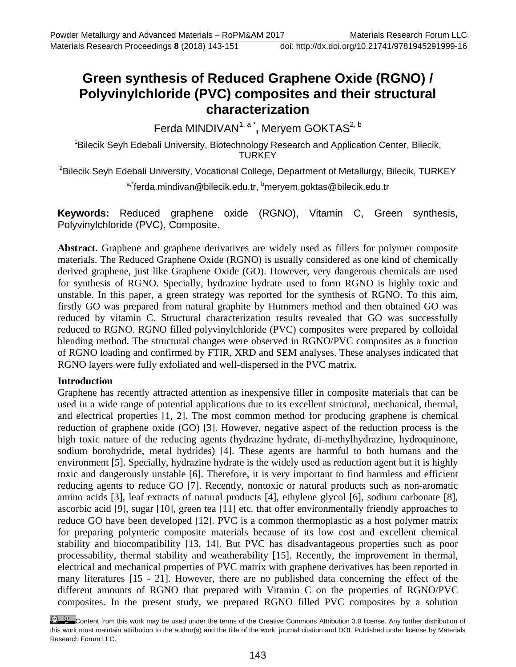# **Green synthesis of Reduced Graphene Oxide (RGNO) / Polyvinylchloride (PVC) composites and their structural characterization**

Ferda MINDIVAN<sup>1, a\*</sup>, Meryem GOKTAS<sup>2, b</sup>

<sup>1</sup>Bilecik Seyh Edebali University, Biotechnology Research and Application Center, Bilecik, **TURKEY** 

<sup>2</sup>Bilecik Seyh Edebali University, Vocational College, Department of Metallurgy, Bilecik, TURKEY

a,\*ferda.mindivan@bilecik.edu.tr, b meryem.goktas@bilecik.edu.tr

**Keywords:** Reduced graphene oxide (RGNO), Vitamin C, Green synthesis, Polyvinylchloride (PVC), Composite.

**Abstract.** Graphene and graphene derivatives are widely used as fillers for polymer composite materials. The Reduced Graphene Oxide (RGNO) is usually considered as one kind of chemically derived graphene, just like Graphene Oxide (GO). However, very dangerous chemicals are used for synthesis of RGNO. Specially, hydrazine hydrate used to form RGNO is highly toxic and unstable. In this paper, a green strategy was reported for the synthesis of RGNO. To this aim, firstly GO was prepared from natural graphite by Hummers method and then obtained GO was reduced by vitamin C. Structural characterization results revealed that GO was successfully reduced to RGNO. RGNO filled polyvinylchloride (PVC) composites were prepared by colloidal blending method. The structural changes were observed in RGNO/PVC composites as a function of RGNO loading and confirmed by FTIR, XRD and SEM analyses. These analyses indicated that RGNO layers were fully exfoliated and well-dispersed in the PVC matrix.

## **Introduction**

Graphene has recently attracted attention as inexpensive filler in composite materials that can be used in a wide range of potential applications due to its excellent structural, mechanical, thermal, and electrical properties [1, 2]. The most common method for producing graphene is chemical reduction of graphene oxide (GO) [3]. However, negative aspect of the reduction process is the high toxic nature of the reducing agents (hydrazine hydrate, di-methylhydrazine, hydroquinone, sodium borohydride, metal hydrides) [4]. These agents are harmful to both humans and the environment [5]. Specially, hydrazine hydrate is the widely used as reduction agent but it is highly toxic and dangerously unstable [6]. Therefore, it is very important to find harmless and efficient reducing agents to reduce GO [7]. Recently, nontoxic or natural products such as non-aromatic amino acids [3], leaf extracts of natural products [4], ethylene glycol [6], sodium carbonate [8], ascorbic acid [9], sugar [10], green tea [11] etc. that offer environmentally friendly approaches to reduce GO have been developed [12]. PVC is a common thermoplastic as a host polymer matrix for preparing polymeric composite materials because of its low cost and excellent chemical stability and biocompatibility [13, 14]. But PVC has disadvantageous properties such as poor processability, thermal stability and weatherability [15]. Recently, the improvement in thermal, electrical and mechanical properties of PVC matrix with graphene derivatives has been reported in many literatures [15 - 21]. However, there are no published data concerning the effect of the different amounts of RGNO that prepared with Vitamin C on the properties of RGNO/PVC composites. In the present study, we prepared RGNO filled PVC composites by a solution

Content from this work may be used under the terms of the Creative Commons Attribution 3.0 license. Any further distribution of this work must maintain attribution to the author(s) and the title of the work, journal citation and DOI. Published under license by Materials Research Forum LLC.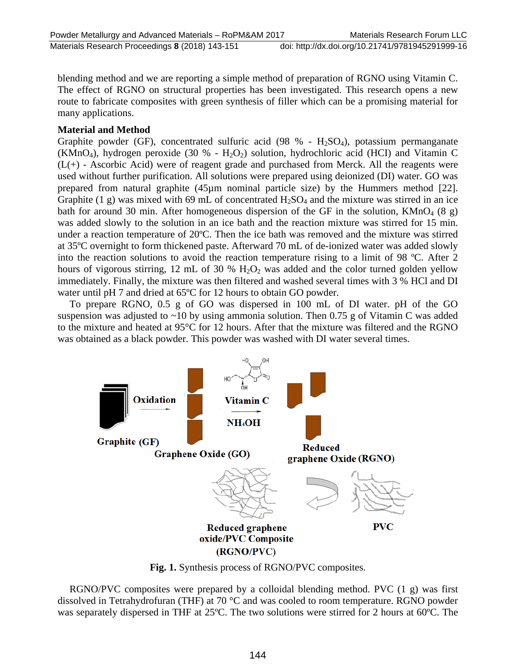blending method and we are reporting a simple method of preparation of RGNO using Vitamin C. The effect of RGNO on structural properties has been investigated. This research opens a new route to fabricate composites with green synthesis of filler which can be a promising material for many applications.

## **Material and Method**

Graphite powder (GF), concentrated sulfuric acid (98 % -  $H_2SO_4$ ), potassium permanganate (KMnO<sub>4</sub>), hydrogen peroxide (30 % -  $H_2O_2$ ) solution, hydrochloric acid (HCI) and Vitamin C  $(L+)$  - Ascorbic Acid) were of reagent grade and purchased from Merck. All the reagents were used without further purification. All solutions were prepared using deionized (DI) water. GO was prepared from natural graphite (45µm nominal particle size) by the Hummers method [22]. Graphite (1 g) was mixed with 69 mL of concentrated  $H_2SO_4$  and the mixture was stirred in an ice bath for around 30 min. After homogeneous dispersion of the GF in the solution,  $KMnO_4$  (8 g) was added slowly to the solution in an ice bath and the reaction mixture was stirred for 15 min. under a reaction temperature of 20ºC. Then the ice bath was removed and the mixture was stirred at 35ºC overnight to form thickened paste. Afterward 70 mL of de-ionized water was added slowly into the reaction solutions to avoid the reaction temperature rising to a limit of 98 ºC. After 2 hours of vigorous stirring, 12 mL of 30 %  $H_2O_2$  was added and the color turned golden yellow immediately. Finally, the mixture was then filtered and washed several times with 3 % HCl and DI water until pH 7 and dried at 65ºC for 12 hours to obtain GO powder.

To prepare RGNO, 0.5 g of GO was dispersed in 100 mL of DI water. pH of the GO suspension was adjusted to  $\sim$ 10 by using ammonia solution. Then 0.75 g of Vitamin C was added to the mixture and heated at 95°C for 12 hours. After that the mixture was filtered and the RGNO was obtained as a black powder. This powder was washed with DI water several times.



**Fig. 1.** Synthesis process of RGNO/PVC composites.

RGNO/PVC composites were prepared by a colloidal blending method. PVC (1 g) was first dissolved in Tetrahydrofuran (THF) at 70 °C and was cooled to room temperature. RGNO powder was separately dispersed in THF at 25ºC. The two solutions were stirred for 2 hours at 60ºC. The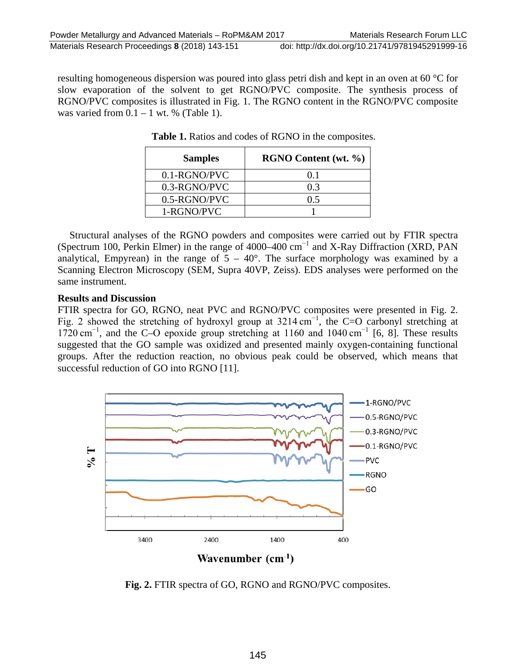resulting homogeneous dispersion was poured into glass petri dish and kept in an oven at 60 °C for slow evaporation of the solvent to get RGNO/PVC composite. The synthesis process of RGNO/PVC composites is illustrated in Fig. 1. The RGNO content in the RGNO/PVC composite was varied from  $0.1 - 1$  wt. % (Table 1).

| <b>Samples</b> | RGNO Content (wt. %) |
|----------------|----------------------|
| $0.1-RGNO/PVC$ | 01                   |
| 0.3-RGNO/PVC   | 0.3                  |
| 0.5-RGNO/PVC   | 0.5                  |
| 1-RGNO/PVC     |                      |

**Table 1.** Ratios and codes of RGNO in the composites.

Structural analyses of the RGNO powders and composites were carried out by FTIR spectra (Spectrum 100, Perkin Elmer) in the range of 4000–400 cm−1 and X-Ray Diffraction (XRD, PAN analytical, Empyrean) in the range of  $5 - 40^{\circ}$ . The surface morphology was examined by a Scanning Electron Microscopy (SEM, Supra 40VP, Zeiss). EDS analyses were performed on the same instrument.

#### **Results and Discussion**

FTIR spectra for GO, RGNO, neat PVC and RGNO/PVC composites were presented in Fig. 2. Fig. 2 showed the stretching of hydroxyl group at  $3214 \text{ cm}^{-1}$ , the C=O carbonyl stretching at 1720 cm−1, and the C–O epoxide group stretching at 1160 and 1040 cm−1 [6, 8]. These results suggested that the GO sample was oxidized and presented mainly oxygen-containing functional groups. After the reduction reaction, no obvious peak could be observed, which means that successful reduction of GO into RGNO [11].



**Fig. 2.** FTIR spectra of GO, RGNO and RGNO/PVC composites.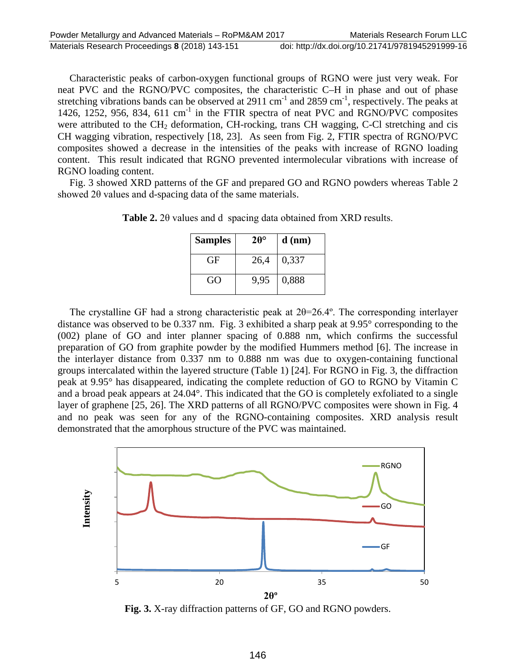Characteristic peaks of carbon-oxygen functional groups of RGNO were just very weak. For neat PVC and the RGNO/PVC composites, the characteristic C–H in phase and out of phase stretching vibrations bands can be observed at 2911 cm<sup>-1</sup> and 2859 cm<sup>-1</sup>, respectively. The peaks at 1426, 1252, 956, 834, 611 cm<sup>-1</sup> in the FTIR spectra of neat PVC and RGNO/PVC composites were attributed to the CH<sub>2</sub> deformation, CH-rocking, trans CH wagging, C-Cl stretching and cis CH wagging vibration, respectively [18, 23]. As seen from Fig. 2, FTIR spectra of RGNO/PVC composites showed a decrease in the intensities of the peaks with increase of RGNO loading content. This result indicated that RGNO prevented intermolecular vibrations with increase of RGNO loading content.

Fig. 3 showed XRD patterns of the GF and prepared GO and RGNO powders whereas Table 2 showed 2θ values and d-spacing data of the same materials.

| <b>Samples</b> | $20^{\circ}$ | $d$ (nm) |
|----------------|--------------|----------|
| GF             | 26,4         | 0,337    |
| GO             | 9,95         | 0,888    |

**Table 2.** 2θ values and d spacing data obtained from XRD results.

The crystalline GF had a strong characteristic peak at 2θ=26.4º. The corresponding interlayer distance was observed to be 0.337 nm. Fig. 3 exhibited a sharp peak at 9.95° corresponding to the (002) plane of GO and inter planner spacing of 0.888 nm, which confirms the successful preparation of GO from graphite powder by the modified Hummers method [6]. The increase in the interlayer distance from 0.337 nm to 0.888 nm was due to oxygen-containing functional groups intercalated within the layered structure (Table 1) [24]. For RGNO in Fig. 3, the diffraction peak at 9.95° has disappeared, indicating the complete reduction of GO to RGNO by Vitamin C and a broad peak appears at 24.04°. This indicated that the GO is completely exfoliated to a single layer of graphene [25, 26]. The XRD patterns of all RGNO/PVC composites were shown in Fig. 4 and no peak was seen for any of the RGNO-containing composites. XRD analysis result demonstrated that the amorphous structure of the PVC was maintained.



**Fig. 3.** X-ray diffraction patterns of GF, GO and RGNO powders.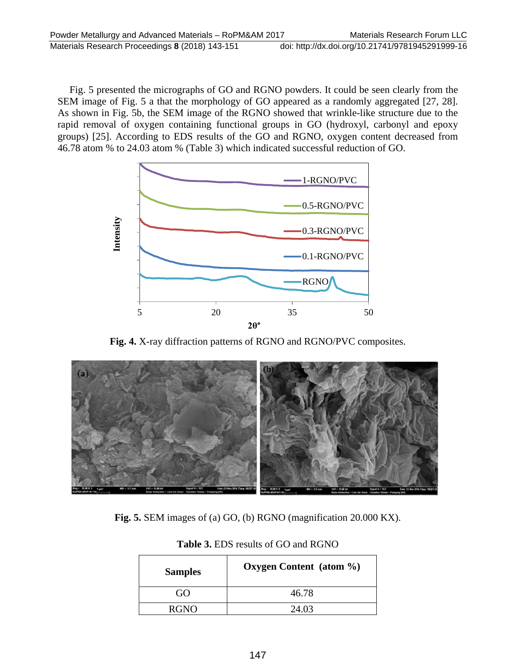Fig. 5 presented the micrographs of GO and RGNO powders. It could be seen clearly from the SEM image of Fig. 5 a that the morphology of GO appeared as a randomly aggregated [27, 28]. As shown in Fig. 5b, the SEM image of the RGNO showed that wrinkle-like structure due to the rapid removal of oxygen containing functional groups in GO (hydroxyl, carbonyl and epoxy groups) [25]. According to EDS results of the GO and RGNO, oxygen content decreased from 46.78 atom % to 24.03 atom % (Table 3) which indicated successful reduction of GO.



**Fig. 4.** X-ray diffraction patterns of RGNO and RGNO/PVC composites.



**Fig. 5.** SEM images of (a) GO, (b) RGNO (magnification 20.000 KX).

| <b>Samples</b> | Oxygen Content (atom $\%$ ) |
|----------------|-----------------------------|
| G()            | 46.78                       |
| <b>RGNO</b>    | 24.03                       |

**Table 3.** EDS results of GO and RGNO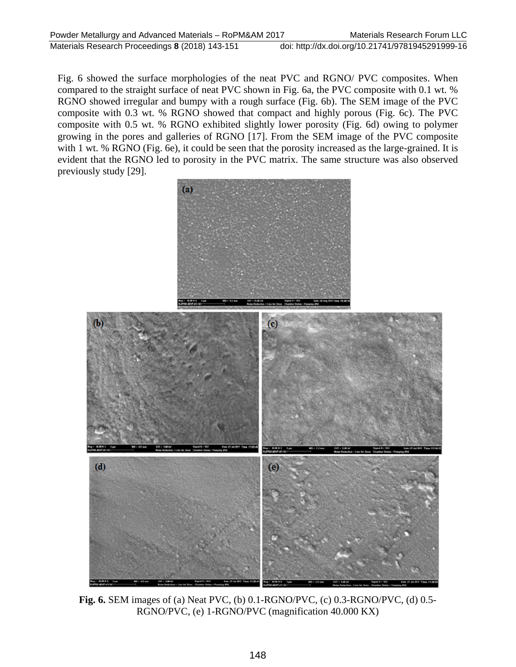Fig. 6 showed the surface morphologies of the neat PVC and RGNO/ PVC composites. When compared to the straight surface of neat PVC shown in Fig. 6a, the PVC composite with 0.1 wt. % RGNO showed irregular and bumpy with a rough surface (Fig. 6b). The SEM image of the PVC composite with 0.3 wt. % RGNO showed that compact and highly porous (Fig. 6c). The PVC composite with 0.5 wt. % RGNO exhibited slightly lower porosity (Fig. 6d) owing to polymer growing in the pores and galleries of RGNO [17]. From the SEM image of the PVC composite with 1 wt. % RGNO (Fig. 6e), it could be seen that the porosity increased as the large-grained. It is evident that the RGNO led to porosity in the PVC matrix. The same structure was also observed previously study [29].



**Fig. 6.** SEM images of (a) Neat PVC, (b) 0.1-RGNO/PVC, (c) 0.3-RGNO/PVC, (d) 0.5- RGNO/PVC, (e) 1-RGNO/PVC (magnification 40.000 KX)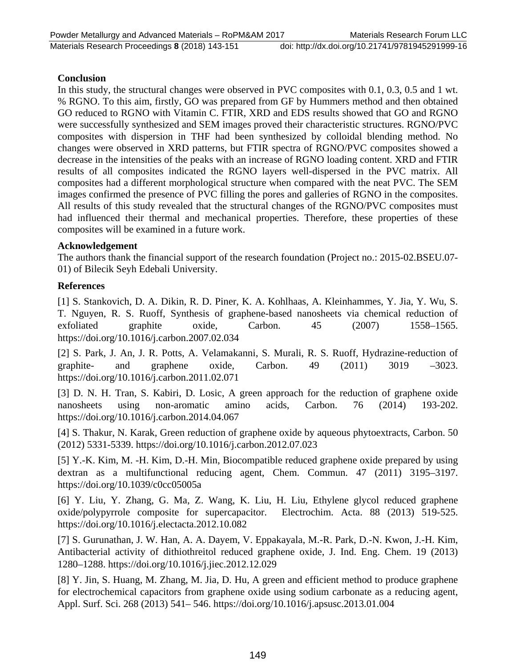#### **Conclusion**

In this study, the structural changes were observed in PVC composites with 0.1, 0.3, 0.5 and 1 wt. % RGNO. To this aim, firstly, GO was prepared from GF by Hummers method and then obtained GO reduced to RGNO with Vitamin C. FTIR, XRD and EDS results showed that GO and RGNO were successfully synthesized and SEM images proved their characteristic structures. RGNO/PVC composites with dispersion in THF had been synthesized by colloidal blending method. No changes were observed in XRD patterns, but FTIR spectra of RGNO/PVC composites showed a decrease in the intensities of the peaks with an increase of RGNO loading content. XRD and FTIR results of all composites indicated the RGNO layers well-dispersed in the PVC matrix. All composites had a different morphological structure when compared with the neat PVC. The SEM images confirmed the presence of PVC filling the pores and galleries of RGNO in the composites. All results of this study revealed that the structural changes of the RGNO/PVC composites must had influenced their thermal and mechanical properties. Therefore, these properties of these composites will be examined in a future work.

#### **Acknowledgement**

The authors thank the financial support of the research foundation (Project no.: 2015-02.BSEU.07- 01) of Bilecik Seyh Edebali University.

## **References**

[1] S. Stankovich, D. A. Dikin, R. D. Piner, K. A. Kohlhaas, A. Kleinhammes, Y. Jia, Y. Wu, S. T. Nguyen, R. S. Ruoff, Synthesis of graphene-based nanosheets via chemical reduction of exfoliated graphite oxide, Carbon. 45 (2007) 1558–1565. https://doi.org/10.1016/j.carbon.2007.02.034

[2] S. Park, J. An, J. R. Potts, A. Velamakanni, S. Murali, R. S. Ruoff, Hydrazine-reduction of graphite- and graphene oxide, Carbon. 49 (2011) 3019 –3023. https://doi.org/10.1016/j.carbon.2011.02.071

[3] D. N. H. Tran, S. Kabiri, D. Losic, A green approach for the reduction of graphene oxide nanosheets using non-aromatic amino acids, Carbon. 76 (2014) 193-202. https://doi.org/10.1016/j.carbon.2014.04.067

[4] S. Thakur, N. Karak, Green reduction of graphene oxide by aqueous phytoextracts, Carbon. 50 (2012) 5331-5339. https://doi.org/10.1016/j.carbon.2012.07.023

[5] Y.-K. Kim, M. -H. Kim, D.-H. Min, Biocompatible reduced graphene oxide prepared by using dextran as a multifunctional reducing agent, Chem. Commun. 47 (2011) 3195–3197. https://doi.org/10.1039/c0cc05005a

[6] Y. Liu, Y. Zhang, G. Ma, Z. Wang, K. Liu, H. Liu, Ethylene glycol reduced graphene oxide/polypyrrole composite for supercapacitor. Electrochim. Acta. 88 (2013) 519-525. https://doi.org/10.1016/j.electacta.2012.10.082

[7] S. Gurunathan, J. W. Han, A. A. Dayem, V. Eppakayala, M.-R. Park, D.-N. Kwon, J.-H. Kim, Antibacterial activity of dithiothreitol reduced graphene oxide, J. Ind. Eng. Chem. 19 (2013) 1280–1288. https://doi.org/10.1016/j.jiec.2012.12.029

[8] Y. Jin, S. Huang, M. Zhang, M. Jia, D. Hu, A green and efficient method to produce graphene for electrochemical capacitors from graphene oxide using sodium carbonate as a reducing agent, Appl. Surf. Sci. 268 (2013) 541– 546. https://doi.org/10.1016/j.apsusc.2013.01.004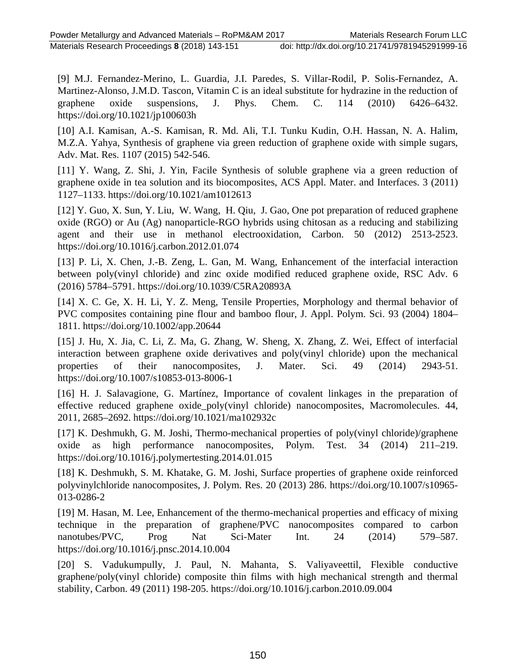[9] M.J. Fernandez-Merino, L. Guardia, J.I. Paredes, S. Villar-Rodil, P. Solis-Fernandez, A. Martinez-Alonso, J.M.D. Tascon, Vitamin C is an ideal substitute for hydrazine in the reduction of graphene oxide suspensions, J. Phys. Chem. C. 114 (2010) 6426–6432. https://doi.org/10.1021/jp100603h

[10] A.I. Kamisan, A.-S. Kamisan, R. Md. Ali, T.I. Tunku Kudin, O.H. Hassan, N. A. Halim, M.Z.A. Yahya, Synthesis of graphene via green reduction of graphene oxide with simple sugars, Adv. Mat. Res. 1107 (2015) 542-546.

[11] Y. Wang, Z. Shi, J. Yin, Facile Synthesis of soluble graphene via a green reduction of graphene oxide in tea solution and its biocomposites, ACS Appl. Mater. and Interfaces. 3 (2011) 1127–1133. https://doi.org/10.1021/am1012613

[12] Y. Guo, X. Sun, Y. Liu, W. Wang, H. Qiu, J. Gao, One pot preparation of reduced graphene oxide (RGO) or Au (Ag) nanoparticle-RGO hybrids using chitosan as a reducing and stabilizing agent and their use in methanol electrooxidation, Carbon. 50 (2012) 2513-2523. https://doi.org/10.1016/j.carbon.2012.01.074

[13] P. Li, X. Chen, J.-B. Zeng, L. Gan, M. Wang, Enhancement of the interfacial interaction between poly(vinyl chloride) and zinc oxide modified reduced graphene oxide, RSC Adv. 6 (2016) 5784–5791. https://doi.org/10.1039/C5RA20893A

[14] X. C. Ge, X. H. Li, Y. Z. Meng, Tensile Properties, Morphology and thermal behavior of PVC composites containing pine flour and bamboo flour, J. Appl. Polym. Sci. 93 (2004) 1804– 1811. https://doi.org/10.1002/app.20644

[15] J. Hu, X. Jia, C. Li, Z. Ma, G. Zhang, W. Sheng, X. Zhang, Z. Wei, Effect of interfacial interaction between graphene oxide derivatives and poly(vinyl chloride) upon the mechanical properties of their nanocomposites, J. Mater. Sci. 49 (2014) 2943-51. https://doi.org/10.1007/s10853-013-8006-1

[16] H. J. Salavagione, G. Martínez, Importance of covalent linkages in the preparation of effective reduced graphene oxide\_poly(vinyl chloride) nanocomposites, Macromolecules. 44, 2011, 2685–2692. https://doi.org/10.1021/ma102932c

[17] K. Deshmukh, G. M. Joshi, Thermo-mechanical properties of poly(vinyl chloride)/graphene oxide as high performance nanocomposites, Polym. Test. 34 (2014) 211–219. https://doi.org/10.1016/j.polymertesting.2014.01.015

[18] K. Deshmukh, S. M. Khatake, G. M. Joshi, Surface properties of graphene oxide reinforced polyvinylchloride nanocomposites, J. Polym. Res. 20 (2013) 286. https://doi.org/10.1007/s10965- 013-0286-2

[19] M. Hasan, M. Lee, Enhancement of the thermo-mechanical properties and efficacy of mixing technique in the preparation of graphene/PVC nanocomposites compared to carbon nanotubes/PVC, Prog Nat Sci-Mater Int. 24 (2014) 579–587. https://doi.org/10.1016/j.pnsc.2014.10.004

[20] S. Vadukumpully, J. Paul, N. Mahanta, S. Valiyaveettil, Flexible conductive graphene/poly(vinyl chloride) composite thin films with high mechanical strength and thermal stability, Carbon. 49 (2011) 198-205. https://doi.org/10.1016/j.carbon.2010.09.004